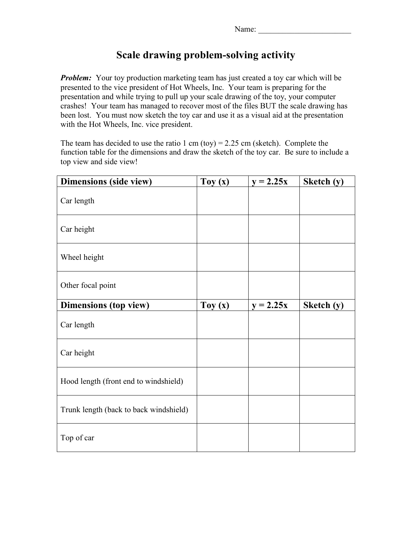## **Scale drawing problem-solving activity**

*Problem:* Your toy production marketing team has just created a toy car which will be presented to the vice president of Hot Wheels, Inc. Your team is preparing for the presentation and while trying to pull up your scale drawing of the toy, your computer crashes! Your team has managed to recover most of the files BUT the scale drawing has been lost. You must now sketch the toy car and use it as a visual aid at the presentation with the Hot Wheels, Inc. vice president.

The team has decided to use the ratio 1 cm (toy) =  $2.25$  cm (sketch). Complete the function table for the dimensions and draw the sketch of the toy car. Be sure to include a top view and side view!

| Dimensions (side view)                 | Toy $(x)$ | $y = 2.25x$ | Sketch (y) |
|----------------------------------------|-----------|-------------|------------|
| Car length                             |           |             |            |
| Car height                             |           |             |            |
| Wheel height                           |           |             |            |
| Other focal point                      |           |             |            |
| <b>Dimensions (top view)</b>           | Toy $(x)$ | $y = 2.25x$ | Sketch (y) |
| Car length                             |           |             |            |
| Car height                             |           |             |            |
| Hood length (front end to windshield)  |           |             |            |
| Trunk length (back to back windshield) |           |             |            |
| Top of car                             |           |             |            |